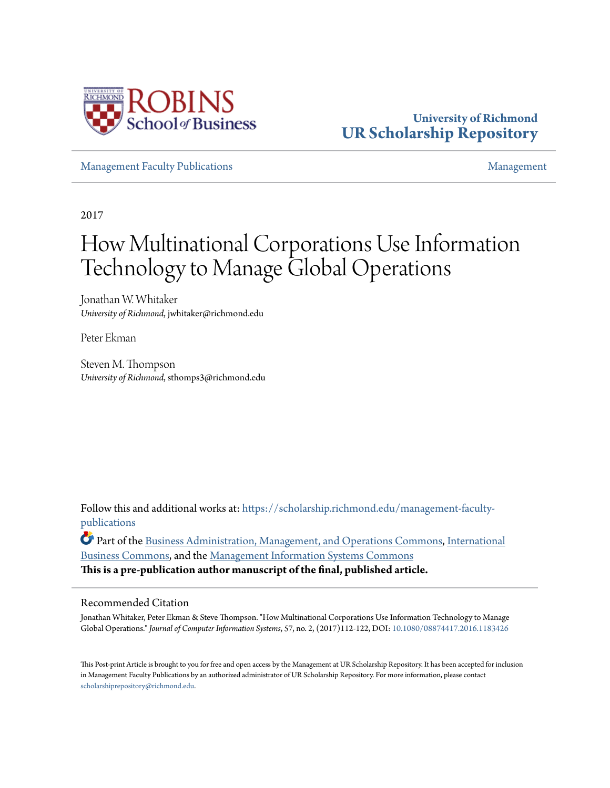

# **University of Richmond [UR Scholarship Repository](https://scholarship.richmond.edu?utm_source=scholarship.richmond.edu%2Fmanagement-faculty-publications%2F55&utm_medium=PDF&utm_campaign=PDFCoverPages)**

[Management Faculty Publications](https://scholarship.richmond.edu/management-faculty-publications?utm_source=scholarship.richmond.edu%2Fmanagement-faculty-publications%2F55&utm_medium=PDF&utm_campaign=PDFCoverPages) [Management](https://scholarship.richmond.edu/management?utm_source=scholarship.richmond.edu%2Fmanagement-faculty-publications%2F55&utm_medium=PDF&utm_campaign=PDFCoverPages)

2017

# How Multinational Corporations Use Information Technology to Manage Global Operations

Jonathan W. Whitaker *University of Richmond*, jwhitaker@richmond.edu

Peter Ekman

Steven M. Thompson *University of Richmond*, sthomps3@richmond.edu

Follow this and additional works at: [https://scholarship.richmond.edu/management-faculty](https://scholarship.richmond.edu/management-faculty-publications?utm_source=scholarship.richmond.edu%2Fmanagement-faculty-publications%2F55&utm_medium=PDF&utm_campaign=PDFCoverPages)[publications](https://scholarship.richmond.edu/management-faculty-publications?utm_source=scholarship.richmond.edu%2Fmanagement-faculty-publications%2F55&utm_medium=PDF&utm_campaign=PDFCoverPages)

Part of the [Business Administration, Management, and Operations Commons](http://network.bepress.com/hgg/discipline/623?utm_source=scholarship.richmond.edu%2Fmanagement-faculty-publications%2F55&utm_medium=PDF&utm_campaign=PDFCoverPages), [International](http://network.bepress.com/hgg/discipline/634?utm_source=scholarship.richmond.edu%2Fmanagement-faculty-publications%2F55&utm_medium=PDF&utm_campaign=PDFCoverPages) [Business Commons,](http://network.bepress.com/hgg/discipline/634?utm_source=scholarship.richmond.edu%2Fmanagement-faculty-publications%2F55&utm_medium=PDF&utm_campaign=PDFCoverPages) and the [Management Information Systems Commons](http://network.bepress.com/hgg/discipline/636?utm_source=scholarship.richmond.edu%2Fmanagement-faculty-publications%2F55&utm_medium=PDF&utm_campaign=PDFCoverPages)

**This is a pre-publication author manuscript of the final, published article.**

# Recommended Citation

Jonathan Whitaker, Peter Ekman & Steve Thompson. "How Multinational Corporations Use Information Technology to Manage Global Operations." *Journal of Computer Information Systems*, 57, no. 2, (2017)112-122, DOI: [10.1080/08874417.2016.1183426](https://doi.org/10.1080/08874417.2016.1183426)

This Post-print Article is brought to you for free and open access by the Management at UR Scholarship Repository. It has been accepted for inclusion in Management Faculty Publications by an authorized administrator of UR Scholarship Repository. For more information, please contact [scholarshiprepository@richmond.edu.](mailto:scholarshiprepository@richmond.edu)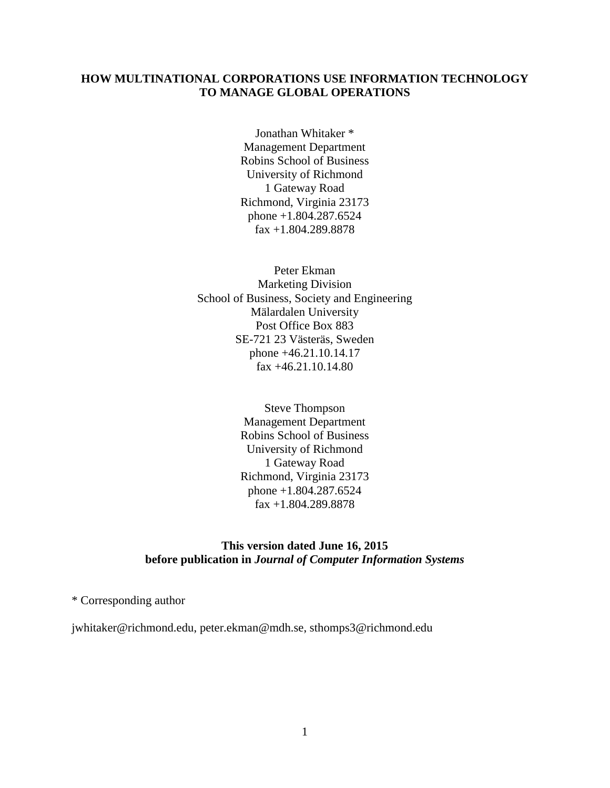# **HOW MULTINATIONAL CORPORATIONS USE INFORMATION TECHNOLOGY TO MANAGE GLOBAL OPERATIONS**

Jonathan Whitaker \* Management Department Robins School of Business University of Richmond 1 Gateway Road Richmond, Virginia 23173 phone +1.804.287.6524 fax +1.804.289.8878

Peter Ekman Marketing Division School of Business, Society and Engineering Mälardalen University Post Office Box 883 SE-721 23 Västeräs, Sweden phone +46.21.10.14.17 fax +46.21.10.14.80

> Steve Thompson Management Department Robins School of Business University of Richmond 1 Gateway Road Richmond, Virginia 23173 phone +1.804.287.6524 fax +1.804.289.8878

# **This version dated June 16, 2015 before publication in** *Journal of Computer Information Systems*

\* Corresponding author

jwhitaker@richmond.edu, peter.ekman@mdh.se, sthomps3@richmond.edu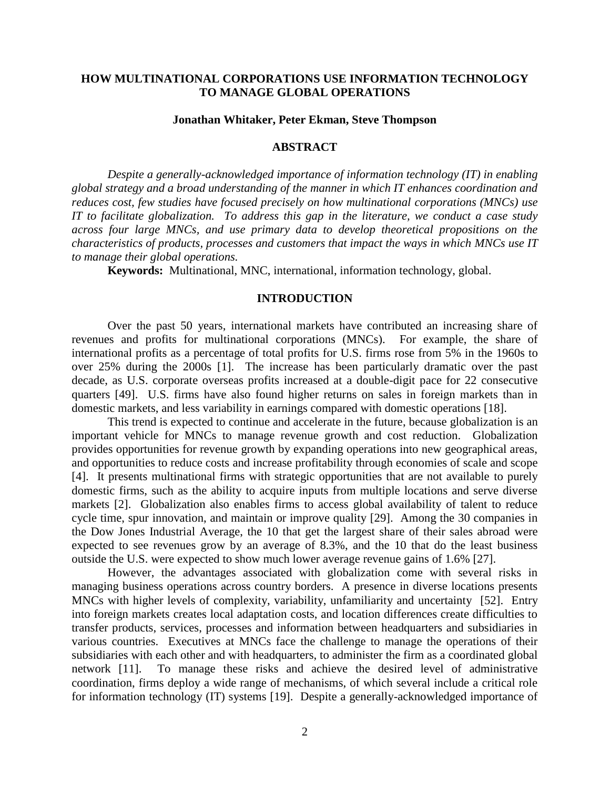# **HOW MULTINATIONAL CORPORATIONS USE INFORMATION TECHNOLOGY TO MANAGE GLOBAL OPERATIONS**

#### **Jonathan Whitaker, Peter Ekman, Steve Thompson**

### **ABSTRACT**

*Despite a generally-acknowledged importance of information technology (IT) in enabling global strategy and a broad understanding of the manner in which IT enhances coordination and reduces cost, few studies have focused precisely on how multinational corporations (MNCs) use IT to facilitate globalization. To address this gap in the literature, we conduct a case study across four large MNCs, and use primary data to develop theoretical propositions on the characteristics of products, processes and customers that impact the ways in which MNCs use IT to manage their global operations.*

**Keywords:** Multinational, MNC, international, information technology, global.

#### **INTRODUCTION**

Over the past 50 years, international markets have contributed an increasing share of revenues and profits for multinational corporations (MNCs). For example, the share of international profits as a percentage of total profits for U.S. firms rose from 5% in the 1960s to over 25% during the 2000s [\[1\]](#page-19-0). The increase has been particularly dramatic over the past decade, as U.S. corporate overseas profits increased at a double-digit pace for 22 consecutive quarters [\[49\]](#page-21-0). U.S. firms have also found higher returns on sales in foreign markets than in domestic markets, and less variability in earnings compared with domestic operations [\[18\]](#page-19-1).

This trend is expected to continue and accelerate in the future, because globalization is an important vehicle for MNCs to manage revenue growth and cost reduction. Globalization provides opportunities for revenue growth by expanding operations into new geographical areas, and opportunities to reduce costs and increase profitability through economies of scale and scope [\[4\]](#page-19-2). It presents multinational firms with strategic opportunities that are not available to purely domestic firms, such as the ability to acquire inputs from multiple locations and serve diverse markets [\[2\]](#page-19-3). Globalization also enables firms to access global availability of talent to reduce cycle time, spur innovation, and maintain or improve quality [\[29\]](#page-20-0). Among the 30 companies in the Dow Jones Industrial Average, the 10 that get the largest share of their sales abroad were expected to see revenues grow by an average of 8.3%, and the 10 that do the least business outside the U.S. were expected to show much lower average revenue gains of 1.6% [\[27\]](#page-20-1).

However, the advantages associated with globalization come with several risks in managing business operations across country borders. A presence in diverse locations presents MNCs with higher levels of complexity, variability, unfamiliarity and uncertainty [\[52\]](#page-21-1). Entry into foreign markets creates local adaptation costs, and location differences create difficulties to transfer products, services, processes and information between headquarters and subsidiaries in various countries. Executives at MNCs face the challenge to manage the operations of their subsidiaries with each other and with headquarters, to administer the firm as a coordinated global network [\[11\]](#page-19-4). To manage these risks and achieve the desired level of administrative coordination, firms deploy a wide range of mechanisms, of which several include a critical role for information technology (IT) systems [\[19\]](#page-19-5). Despite a generally-acknowledged importance of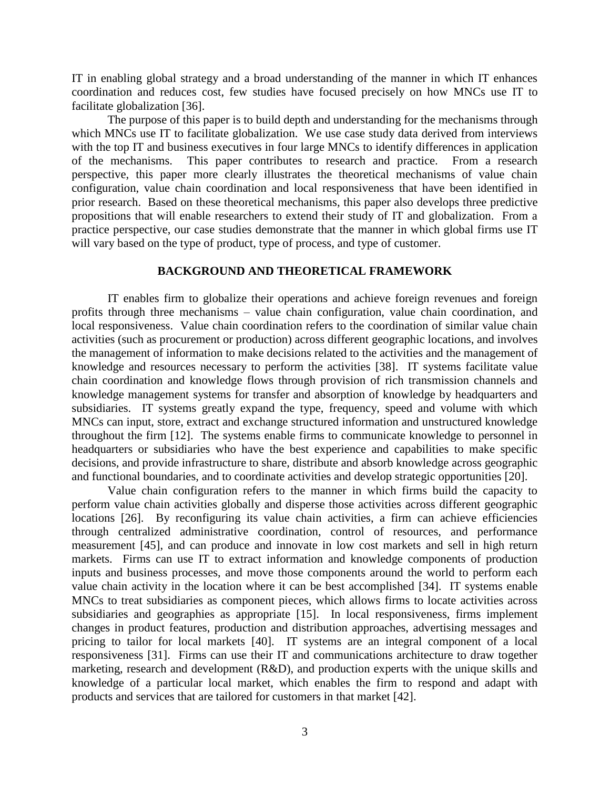IT in enabling global strategy and a broad understanding of the manner in which IT enhances coordination and reduces cost, few studies have focused precisely on how MNCs use IT to facilitate globalization [\[36\]](#page-20-2).

The purpose of this paper is to build depth and understanding for the mechanisms through which MNCs use IT to facilitate globalization. We use case study data derived from interviews with the top IT and business executives in four large MNCs to identify differences in application of the mechanisms. This paper contributes to research and practice. From a research perspective, this paper more clearly illustrates the theoretical mechanisms of value chain configuration, value chain coordination and local responsiveness that have been identified in prior research. Based on these theoretical mechanisms, this paper also develops three predictive propositions that will enable researchers to extend their study of IT and globalization. From a practice perspective, our case studies demonstrate that the manner in which global firms use IT will vary based on the type of product, type of process, and type of customer.

# **BACKGROUND AND THEORETICAL FRAMEWORK**

IT enables firm to globalize their operations and achieve foreign revenues and foreign profits through three mechanisms – value chain configuration, value chain coordination, and local responsiveness. Value chain coordination refers to the coordination of similar value chain activities (such as procurement or production) across different geographic locations, and involves the management of information to make decisions related to the activities and the management of knowledge and resources necessary to perform the activities [\[38\]](#page-20-3). IT systems facilitate value chain coordination and knowledge flows through provision of rich transmission channels and knowledge management systems for transfer and absorption of knowledge by headquarters and subsidiaries. IT systems greatly expand the type, frequency, speed and volume with which MNCs can input, store, extract and exchange structured information and unstructured knowledge throughout the firm [\[12\]](#page-19-6). The systems enable firms to communicate knowledge to personnel in headquarters or subsidiaries who have the best experience and capabilities to make specific decisions, and provide infrastructure to share, distribute and absorb knowledge across geographic and functional boundaries, and to coordinate activities and develop strategic opportunities [\[20\]](#page-20-4).

Value chain configuration refers to the manner in which firms build the capacity to perform value chain activities globally and disperse those activities across different geographic locations [\[26\]](#page-20-5). By reconfiguring its value chain activities, a firm can achieve efficiencies through centralized administrative coordination, control of resources, and performance measurement [\[45\]](#page-21-2), and can produce and innovate in low cost markets and sell in high return markets. Firms can use IT to extract information and knowledge components of production inputs and business processes, and move those components around the world to perform each value chain activity in the location where it can be best accomplished [\[34\]](#page-20-6). IT systems enable MNCs to treat subsidiaries as component pieces, which allows firms to locate activities across subsidiaries and geographies as appropriate [\[15\]](#page-19-7). In local responsiveness, firms implement changes in product features, production and distribution approaches, advertising messages and pricing to tailor for local markets [\[40\]](#page-20-7). IT systems are an integral component of a local responsiveness [\[31\]](#page-20-8). Firms can use their IT and communications architecture to draw together marketing, research and development (R&D), and production experts with the unique skills and knowledge of a particular local market, which enables the firm to respond and adapt with products and services that are tailored for customers in that market [\[42\]](#page-21-3).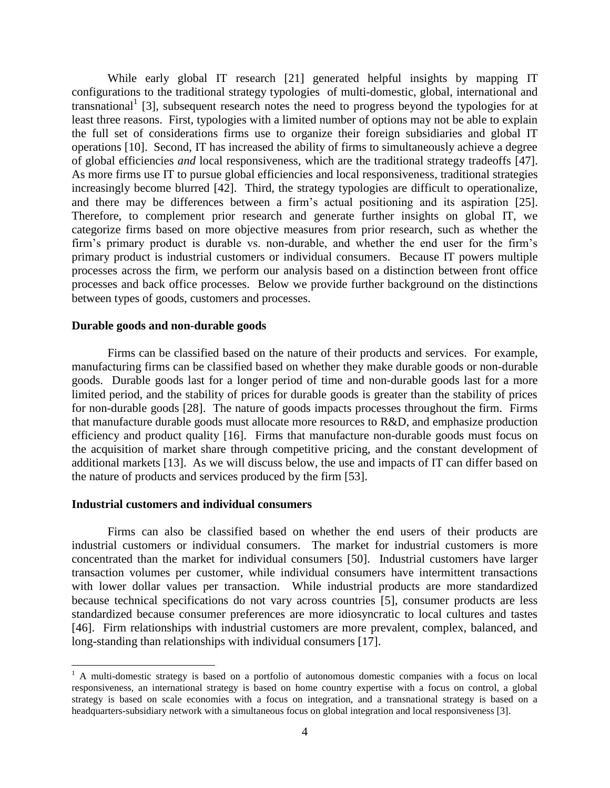While early global IT research [\[21\]](#page-20-9) generated helpful insights by mapping IT configurations to the traditional strategy typologies of multi-domestic, global, international and transnational<sup>1</sup> [\[3\]](#page-19-8), subsequent research notes the need to progress beyond the typologies for at least three reasons. First, typologies with a limited number of options may not be able to explain the full set of considerations firms use to organize their foreign subsidiaries and global IT operations [\[10\]](#page-19-9). Second, IT has increased the ability of firms to simultaneously achieve a degree of global efficiencies *and* local responsiveness, which are the traditional strategy tradeoffs [\[47\]](#page-21-4). As more firms use IT to pursue global efficiencies and local responsiveness, traditional strategies increasingly become blurred [\[42\]](#page-21-3). Third, the strategy typologies are difficult to operationalize, and there may be differences between a firm's actual positioning and its aspiration [\[25\]](#page-20-10). Therefore, to complement prior research and generate further insights on global IT, we categorize firms based on more objective measures from prior research, such as whether the firm's primary product is durable vs. non-durable, and whether the end user for the firm's primary product is industrial customers or individual consumers. Because IT powers multiple processes across the firm, we perform our analysis based on a distinction between front office processes and back office processes. Below we provide further background on the distinctions between types of goods, customers and processes.

#### **Durable goods and non-durable goods**

Firms can be classified based on the nature of their products and services. For example, manufacturing firms can be classified based on whether they make durable goods or non-durable goods. Durable goods last for a longer period of time and non-durable goods last for a more limited period, and the stability of prices for durable goods is greater than the stability of prices for non-durable goods [\[28\]](#page-20-11). The nature of goods impacts processes throughout the firm. Firms that manufacture durable goods must allocate more resources to R&D, and emphasize production efficiency and product quality [\[16\]](#page-19-10). Firms that manufacture non-durable goods must focus on the acquisition of market share through competitive pricing, and the constant development of additional markets [\[13\]](#page-19-11). As we will discuss below, the use and impacts of IT can differ based on the nature of products and services produced by the firm [\[53\]](#page-21-5).

#### **Industrial customers and individual consumers**

 $\overline{\phantom{a}}$ 

Firms can also be classified based on whether the end users of their products are industrial customers or individual consumers. The market for industrial customers is more concentrated than the market for individual consumers [\[50\]](#page-21-6). Industrial customers have larger transaction volumes per customer, while individual consumers have intermittent transactions with lower dollar values per transaction. While industrial products are more standardized because technical specifications do not vary across countries [\[5\]](#page-19-12), consumer products are less standardized because consumer preferences are more idiosyncratic to local cultures and tastes [\[46\]](#page-21-7). Firm relationships with industrial customers are more prevalent, complex, balanced, and long-standing than relationships with individual consumers [\[17\]](#page-19-13).

<sup>&</sup>lt;sup>1</sup> A multi-domestic strategy is based on a portfolio of autonomous domestic companies with a focus on local responsiveness, an international strategy is based on home country expertise with a focus on control, a global strategy is based on scale economies with a focus on integration, and a transnational strategy is based on a headquarters-subsidiary network with a simultaneous focus on global integration and local responsiveness [3].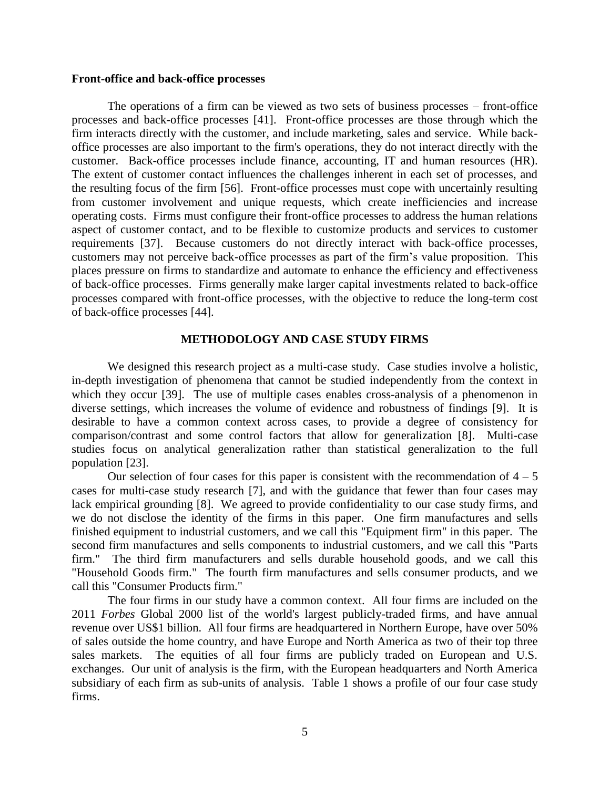### **Front-office and back-office processes**

The operations of a firm can be viewed as two sets of business processes – front-office processes and back-office processes [\[41\]](#page-20-12). Front-office processes are those through which the firm interacts directly with the customer, and include marketing, sales and service. While backoffice processes are also important to the firm's operations, they do not interact directly with the customer. Back-office processes include finance, accounting, IT and human resources (HR). The extent of customer contact influences the challenges inherent in each set of processes, and the resulting focus of the firm [\[56\]](#page-21-8). Front-office processes must cope with uncertainly resulting from customer involvement and unique requests, which create inefficiencies and increase operating costs. Firms must configure their front-office processes to address the human relations aspect of customer contact, and to be flexible to customize products and services to customer requirements [\[37\]](#page-20-13). Because customers do not directly interact with back-office processes, customers may not perceive back-office processes as part of the firm's value proposition. This places pressure on firms to standardize and automate to enhance the efficiency and effectiveness of back-office processes. Firms generally make larger capital investments related to back-office processes compared with front-office processes, with the objective to reduce the long-term cost of back-office processes [\[44\]](#page-21-9).

#### **METHODOLOGY AND CASE STUDY FIRMS**

We designed this research project as a multi-case study. Case studies involve a holistic, in-depth investigation of phenomena that cannot be studied independently from the context in which they occur [\[39\]](#page-20-14). The use of multiple cases enables cross-analysis of a phenomenon in diverse settings, which increases the volume of evidence and robustness of findings [\[9\]](#page-19-14). It is desirable to have a common context across cases, to provide a degree of consistency for comparison/contrast and some control factors that allow for generalization [\[8\]](#page-19-15). Multi-case studies focus on analytical generalization rather than statistical generalization to the full population [\[23\]](#page-20-15).

Our selection of four cases for this paper is consistent with the recommendation of  $4 - 5$ cases for multi-case study research [\[7\]](#page-19-16), and with the guidance that fewer than four cases may lack empirical grounding [\[8\]](#page-19-15). We agreed to provide confidentiality to our case study firms, and we do not disclose the identity of the firms in this paper. One firm manufactures and sells finished equipment to industrial customers, and we call this "Equipment firm" in this paper. The second firm manufactures and sells components to industrial customers, and we call this "Parts firm." The third firm manufacturers and sells durable household goods, and we call this "Household Goods firm." The fourth firm manufactures and sells consumer products, and we call this "Consumer Products firm."

The four firms in our study have a common context. All four firms are included on the 2011 *Forbes* Global 2000 list of the world's largest publicly-traded firms, and have annual revenue over US\$1 billion. All four firms are headquartered in Northern Europe, have over 50% of sales outside the home country, and have Europe and North America as two of their top three sales markets. The equities of all four firms are publicly traded on European and U.S. exchanges. Our unit of analysis is the firm, with the European headquarters and North America subsidiary of each firm as sub-units of analysis. Table 1 shows a profile of our four case study firms.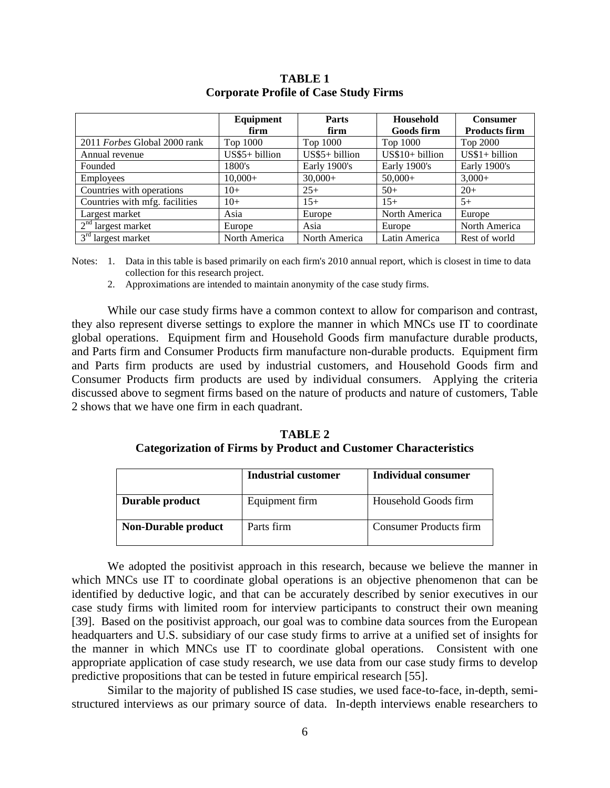|                                | Equipment       | <b>Parts</b>    | Household         | <b>Consumer</b>      |
|--------------------------------|-----------------|-----------------|-------------------|----------------------|
|                                | firm            | firm            | <b>Goods firm</b> | <b>Products firm</b> |
| 2011 Forbes Global 2000 rank   | Top 1000        | Top 1000        | Top 1000          | Top 2000             |
| Annual revenue                 | $US$5+ billion$ | $US$5+ billion$ | $US$10+ billion$  | $US$1+ billion$      |
| Founded                        | 1800's          | Early 1900's    | Early 1900's      | Early 1900's         |
| Employees                      | $10,000+$       | $30,000+$       | $50,000+$         | $3,000+$             |
| Countries with operations      | $10+$           | $25+$           | $50+$             | $20+$                |
| Countries with mfg. facilities | $10+$           | $15+$           | $15+$             | $5+$                 |
| Largest market                 | Asia            | Europe          | North America     | Europe               |
| $2nd$ largest market           | Europe          | Asia            | Europe            | North America        |
| $3rd$ largest market           | North America   | North America   | Latin America     | Rest of world        |

# **TABLE 1 Corporate Profile of Case Study Firms**

Notes: 1. Data in this table is based primarily on each firm's 2010 annual report, which is closest in time to data collection for this research project.

2. Approximations are intended to maintain anonymity of the case study firms.

While our case study firms have a common context to allow for comparison and contrast, they also represent diverse settings to explore the manner in which MNCs use IT to coordinate global operations. Equipment firm and Household Goods firm manufacture durable products, and Parts firm and Consumer Products firm manufacture non-durable products. Equipment firm and Parts firm products are used by industrial customers, and Household Goods firm and Consumer Products firm products are used by individual consumers. Applying the criteria discussed above to segment firms based on the nature of products and nature of customers, Table 2 shows that we have one firm in each quadrant.

**TABLE 2 Categorization of Firms by Product and Customer Characteristics**

|                            | <b>Industrial customer</b> | Individual consumer           |
|----------------------------|----------------------------|-------------------------------|
| Durable product            | Equipment firm             | Household Goods firm          |
| <b>Non-Durable product</b> | Parts firm                 | <b>Consumer Products firm</b> |

We adopted the positivist approach in this research, because we believe the manner in which MNCs use IT to coordinate global operations is an objective phenomenon that can be identified by deductive logic, and that can be accurately described by senior executives in our case study firms with limited room for interview participants to construct their own meaning [\[39\]](#page-20-14). Based on the positivist approach, our goal was to combine data sources from the European headquarters and U.S. subsidiary of our case study firms to arrive at a unified set of insights for the manner in which MNCs use IT to coordinate global operations. Consistent with one appropriate application of case study research, we use data from our case study firms to develop predictive propositions that can be tested in future empirical research [\[55\]](#page-21-10).

Similar to the majority of published IS case studies, we used face-to-face, in-depth, semistructured interviews as our primary source of data. In-depth interviews enable researchers to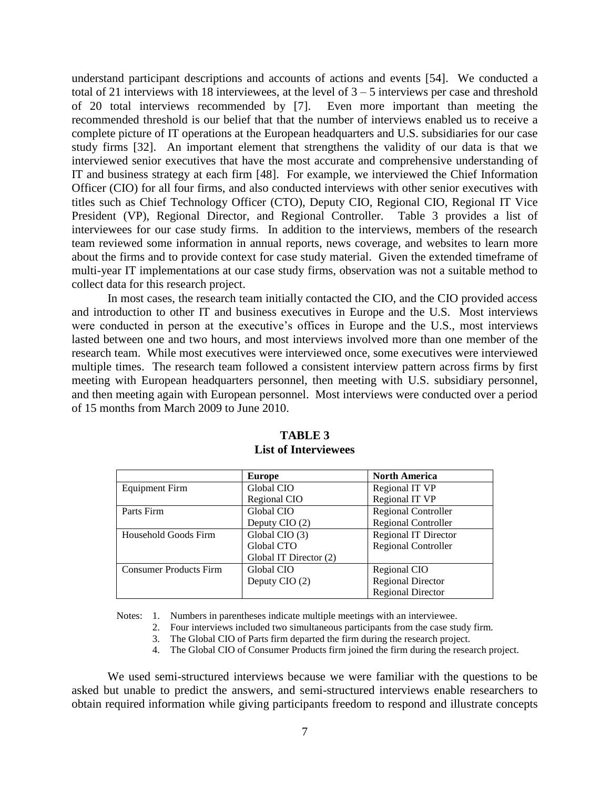understand participant descriptions and accounts of actions and events [\[54\]](#page-21-11). We conducted a total of 21 interviews with 18 interviewees, at the level of  $3 - 5$  interviews per case and threshold of 20 total interviews recommended by [\[7\]](#page-19-16). Even more important than meeting the recommended threshold is our belief that that the number of interviews enabled us to receive a complete picture of IT operations at the European headquarters and U.S. subsidiaries for our case study firms [\[32\]](#page-20-16). An important element that strengthens the validity of our data is that we interviewed senior executives that have the most accurate and comprehensive understanding of IT and business strategy at each firm [\[48\]](#page-21-12). For example, we interviewed the Chief Information Officer (CIO) for all four firms, and also conducted interviews with other senior executives with titles such as Chief Technology Officer (CTO), Deputy CIO, Regional CIO, Regional IT Vice President (VP), Regional Director, and Regional Controller. Table 3 provides a list of interviewees for our case study firms. In addition to the interviews, members of the research team reviewed some information in annual reports, news coverage, and websites to learn more about the firms and to provide context for case study material. Given the extended timeframe of multi-year IT implementations at our case study firms, observation was not a suitable method to collect data for this research project.

In most cases, the research team initially contacted the CIO, and the CIO provided access and introduction to other IT and business executives in Europe and the U.S. Most interviews were conducted in person at the executive's offices in Europe and the U.S., most interviews lasted between one and two hours, and most interviews involved more than one member of the research team. While most executives were interviewed once, some executives were interviewed multiple times. The research team followed a consistent interview pattern across firms by first meeting with European headquarters personnel, then meeting with U.S. subsidiary personnel, and then meeting again with European personnel. Most interviews were conducted over a period of 15 months from March 2009 to June 2010.

|                               | Europe                 | <b>North America</b>        |
|-------------------------------|------------------------|-----------------------------|
| <b>Equipment Firm</b>         | Global CIO             | Regional IT VP              |
|                               | Regional CIO           | Regional IT VP              |
| Parts Firm                    | Global CIO             | <b>Regional Controller</b>  |
|                               | Deputy CIO (2)         | <b>Regional Controller</b>  |
| Household Goods Firm          | Global CIO (3)         | <b>Regional IT Director</b> |
|                               | Global CTO             | <b>Regional Controller</b>  |
|                               | Global IT Director (2) |                             |
| <b>Consumer Products Firm</b> | Global CIO             | Regional CIO                |
|                               | Deputy CIO (2)         | <b>Regional Director</b>    |
|                               |                        | <b>Regional Director</b>    |

# **TABLE 3 List of Interviewees**

Notes: 1. Numbers in parentheses indicate multiple meetings with an interviewee.

- 2. Four interviews included two simultaneous participants from the case study firm.
- 3. The Global CIO of Parts firm departed the firm during the research project.
- 4. The Global CIO of Consumer Products firm joined the firm during the research project.

We used semi-structured interviews because we were familiar with the questions to be asked but unable to predict the answers, and semi-structured interviews enable researchers to obtain required information while giving participants freedom to respond and illustrate concepts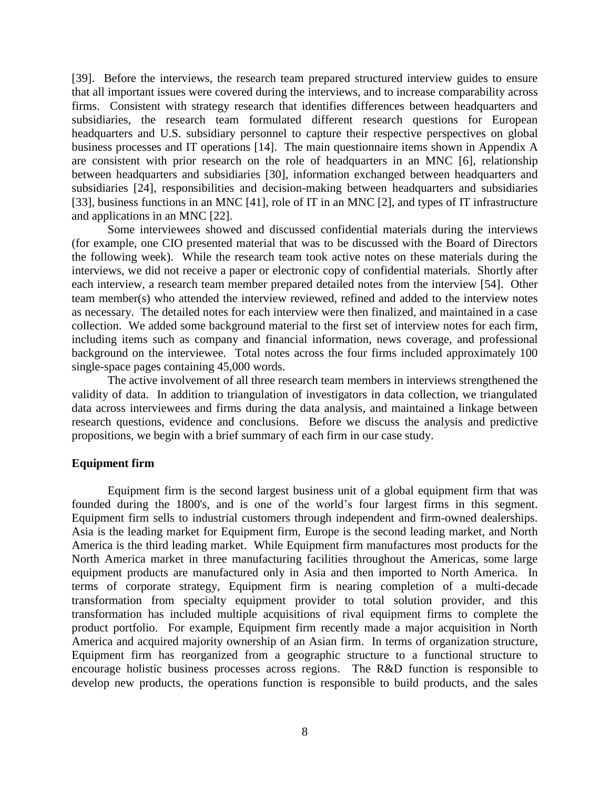[\[39\]](#page-20-14). Before the interviews, the research team prepared structured interview guides to ensure that all important issues were covered during the interviews, and to increase comparability across firms. Consistent with strategy research that identifies differences between headquarters and subsidiaries, the research team formulated different research questions for European headquarters and U.S. subsidiary personnel to capture their respective perspectives on global business processes and IT operations [\[14\]](#page-19-17). The main questionnaire items shown in Appendix A are consistent with prior research on the role of headquarters in an MNC [\[6\]](#page-19-18), relationship between headquarters and subsidiaries [\[30\]](#page-20-17), information exchanged between headquarters and subsidiaries [\[24\]](#page-20-18), responsibilities and decision-making between headquarters and subsidiaries [\[33\]](#page-20-19), business functions in an MNC [\[41\]](#page-20-12), role of IT in an MNC [\[2\]](#page-19-3), and types of IT infrastructure and applications in an MNC [\[22\]](#page-20-20).

Some interviewees showed and discussed confidential materials during the interviews (for example, one CIO presented material that was to be discussed with the Board of Directors the following week). While the research team took active notes on these materials during the interviews, we did not receive a paper or electronic copy of confidential materials. Shortly after each interview, a research team member prepared detailed notes from the interview [\[54\]](#page-21-11). Other team member(s) who attended the interview reviewed, refined and added to the interview notes as necessary. The detailed notes for each interview were then finalized, and maintained in a case collection. We added some background material to the first set of interview notes for each firm, including items such as company and financial information, news coverage, and professional background on the interviewee. Total notes across the four firms included approximately 100 single-space pages containing 45,000 words.

The active involvement of all three research team members in interviews strengthened the validity of data. In addition to triangulation of investigators in data collection, we triangulated data across interviewees and firms during the data analysis, and maintained a linkage between research questions, evidence and conclusions. Before we discuss the analysis and predictive propositions, we begin with a brief summary of each firm in our case study.

#### **Equipment firm**

Equipment firm is the second largest business unit of a global equipment firm that was founded during the 1800's, and is one of the world's four largest firms in this segment. Equipment firm sells to industrial customers through independent and firm-owned dealerships. Asia is the leading market for Equipment firm, Europe is the second leading market, and North America is the third leading market. While Equipment firm manufactures most products for the North America market in three manufacturing facilities throughout the Americas, some large equipment products are manufactured only in Asia and then imported to North America. In terms of corporate strategy, Equipment firm is nearing completion of a multi-decade transformation from specialty equipment provider to total solution provider, and this transformation has included multiple acquisitions of rival equipment firms to complete the product portfolio. For example, Equipment firm recently made a major acquisition in North America and acquired majority ownership of an Asian firm. In terms of organization structure, Equipment firm has reorganized from a geographic structure to a functional structure to encourage holistic business processes across regions. The R&D function is responsible to develop new products, the operations function is responsible to build products, and the sales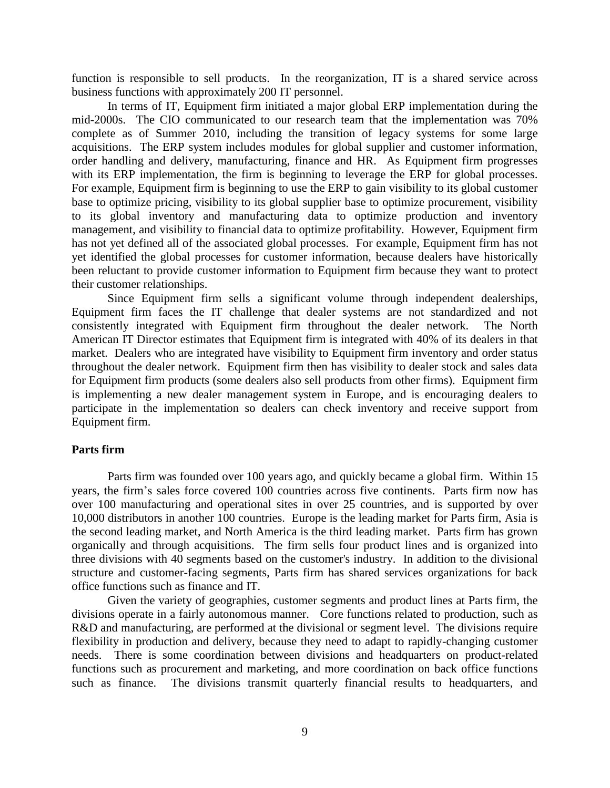function is responsible to sell products. In the reorganization, IT is a shared service across business functions with approximately 200 IT personnel.

In terms of IT, Equipment firm initiated a major global ERP implementation during the mid-2000s. The CIO communicated to our research team that the implementation was 70% complete as of Summer 2010, including the transition of legacy systems for some large acquisitions. The ERP system includes modules for global supplier and customer information, order handling and delivery, manufacturing, finance and HR. As Equipment firm progresses with its ERP implementation, the firm is beginning to leverage the ERP for global processes. For example, Equipment firm is beginning to use the ERP to gain visibility to its global customer base to optimize pricing, visibility to its global supplier base to optimize procurement, visibility to its global inventory and manufacturing data to optimize production and inventory management, and visibility to financial data to optimize profitability. However, Equipment firm has not yet defined all of the associated global processes. For example, Equipment firm has not yet identified the global processes for customer information, because dealers have historically been reluctant to provide customer information to Equipment firm because they want to protect their customer relationships.

Since Equipment firm sells a significant volume through independent dealerships, Equipment firm faces the IT challenge that dealer systems are not standardized and not consistently integrated with Equipment firm throughout the dealer network. The North American IT Director estimates that Equipment firm is integrated with 40% of its dealers in that market. Dealers who are integrated have visibility to Equipment firm inventory and order status throughout the dealer network. Equipment firm then has visibility to dealer stock and sales data for Equipment firm products (some dealers also sell products from other firms). Equipment firm is implementing a new dealer management system in Europe, and is encouraging dealers to participate in the implementation so dealers can check inventory and receive support from Equipment firm.

# **Parts firm**

Parts firm was founded over 100 years ago, and quickly became a global firm. Within 15 years, the firm's sales force covered 100 countries across five continents. Parts firm now has over 100 manufacturing and operational sites in over 25 countries, and is supported by over 10,000 distributors in another 100 countries. Europe is the leading market for Parts firm, Asia is the second leading market, and North America is the third leading market. Parts firm has grown organically and through acquisitions. The firm sells four product lines and is organized into three divisions with 40 segments based on the customer's industry. In addition to the divisional structure and customer-facing segments, Parts firm has shared services organizations for back office functions such as finance and IT.

Given the variety of geographies, customer segments and product lines at Parts firm, the divisions operate in a fairly autonomous manner. Core functions related to production, such as R&D and manufacturing, are performed at the divisional or segment level. The divisions require flexibility in production and delivery, because they need to adapt to rapidly-changing customer needs. There is some coordination between divisions and headquarters on product-related functions such as procurement and marketing, and more coordination on back office functions such as finance. The divisions transmit quarterly financial results to headquarters, and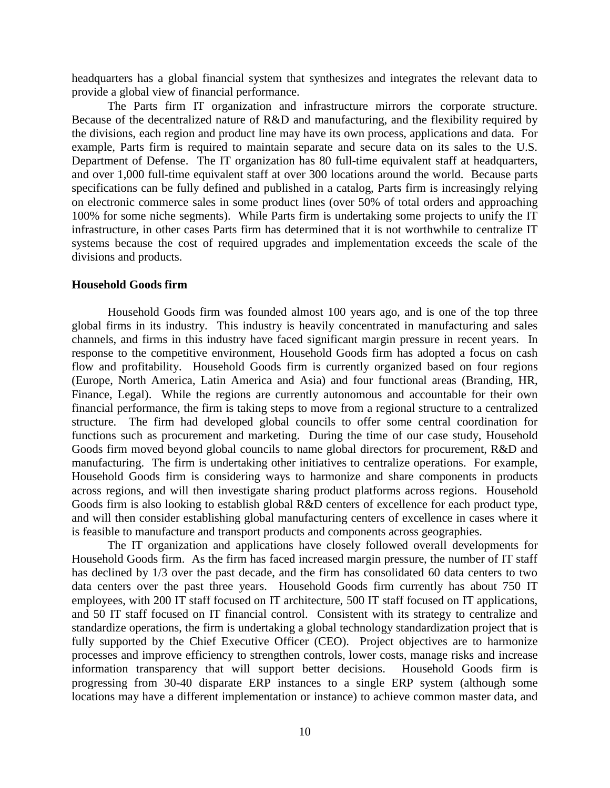headquarters has a global financial system that synthesizes and integrates the relevant data to provide a global view of financial performance.

The Parts firm IT organization and infrastructure mirrors the corporate structure. Because of the decentralized nature of R&D and manufacturing, and the flexibility required by the divisions, each region and product line may have its own process, applications and data. For example, Parts firm is required to maintain separate and secure data on its sales to the U.S. Department of Defense. The IT organization has 80 full-time equivalent staff at headquarters, and over 1,000 full-time equivalent staff at over 300 locations around the world. Because parts specifications can be fully defined and published in a catalog, Parts firm is increasingly relying on electronic commerce sales in some product lines (over 50% of total orders and approaching 100% for some niche segments). While Parts firm is undertaking some projects to unify the IT infrastructure, in other cases Parts firm has determined that it is not worthwhile to centralize IT systems because the cost of required upgrades and implementation exceeds the scale of the divisions and products.

#### **Household Goods firm**

Household Goods firm was founded almost 100 years ago, and is one of the top three global firms in its industry. This industry is heavily concentrated in manufacturing and sales channels, and firms in this industry have faced significant margin pressure in recent years. In response to the competitive environment, Household Goods firm has adopted a focus on cash flow and profitability. Household Goods firm is currently organized based on four regions (Europe, North America, Latin America and Asia) and four functional areas (Branding, HR, Finance, Legal). While the regions are currently autonomous and accountable for their own financial performance, the firm is taking steps to move from a regional structure to a centralized structure. The firm had developed global councils to offer some central coordination for functions such as procurement and marketing. During the time of our case study, Household Goods firm moved beyond global councils to name global directors for procurement, R&D and manufacturing. The firm is undertaking other initiatives to centralize operations. For example, Household Goods firm is considering ways to harmonize and share components in products across regions, and will then investigate sharing product platforms across regions. Household Goods firm is also looking to establish global R&D centers of excellence for each product type, and will then consider establishing global manufacturing centers of excellence in cases where it is feasible to manufacture and transport products and components across geographies.

The IT organization and applications have closely followed overall developments for Household Goods firm. As the firm has faced increased margin pressure, the number of IT staff has declined by 1/3 over the past decade, and the firm has consolidated 60 data centers to two data centers over the past three years. Household Goods firm currently has about 750 IT employees, with 200 IT staff focused on IT architecture, 500 IT staff focused on IT applications, and 50 IT staff focused on IT financial control. Consistent with its strategy to centralize and standardize operations, the firm is undertaking a global technology standardization project that is fully supported by the Chief Executive Officer (CEO). Project objectives are to harmonize processes and improve efficiency to strengthen controls, lower costs, manage risks and increase information transparency that will support better decisions. Household Goods firm is progressing from 30-40 disparate ERP instances to a single ERP system (although some locations may have a different implementation or instance) to achieve common master data, and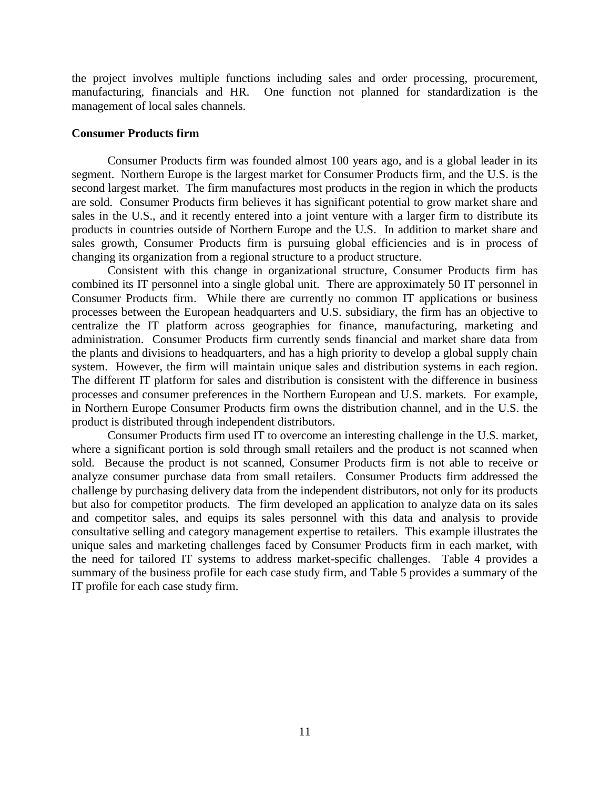the project involves multiple functions including sales and order processing, procurement, manufacturing, financials and HR. One function not planned for standardization is the management of local sales channels.

#### **Consumer Products firm**

Consumer Products firm was founded almost 100 years ago, and is a global leader in its segment. Northern Europe is the largest market for Consumer Products firm, and the U.S. is the second largest market. The firm manufactures most products in the region in which the products are sold. Consumer Products firm believes it has significant potential to grow market share and sales in the U.S., and it recently entered into a joint venture with a larger firm to distribute its products in countries outside of Northern Europe and the U.S. In addition to market share and sales growth, Consumer Products firm is pursuing global efficiencies and is in process of changing its organization from a regional structure to a product structure.

Consistent with this change in organizational structure, Consumer Products firm has combined its IT personnel into a single global unit. There are approximately 50 IT personnel in Consumer Products firm. While there are currently no common IT applications or business processes between the European headquarters and U.S. subsidiary, the firm has an objective to centralize the IT platform across geographies for finance, manufacturing, marketing and administration. Consumer Products firm currently sends financial and market share data from the plants and divisions to headquarters, and has a high priority to develop a global supply chain system. However, the firm will maintain unique sales and distribution systems in each region. The different IT platform for sales and distribution is consistent with the difference in business processes and consumer preferences in the Northern European and U.S. markets. For example, in Northern Europe Consumer Products firm owns the distribution channel, and in the U.S. the product is distributed through independent distributors.

Consumer Products firm used IT to overcome an interesting challenge in the U.S. market, where a significant portion is sold through small retailers and the product is not scanned when sold. Because the product is not scanned, Consumer Products firm is not able to receive or analyze consumer purchase data from small retailers. Consumer Products firm addressed the challenge by purchasing delivery data from the independent distributors, not only for its products but also for competitor products. The firm developed an application to analyze data on its sales and competitor sales, and equips its sales personnel with this data and analysis to provide consultative selling and category management expertise to retailers. This example illustrates the unique sales and marketing challenges faced by Consumer Products firm in each market, with the need for tailored IT systems to address market-specific challenges. Table 4 provides a summary of the business profile for each case study firm, and Table 5 provides a summary of the IT profile for each case study firm.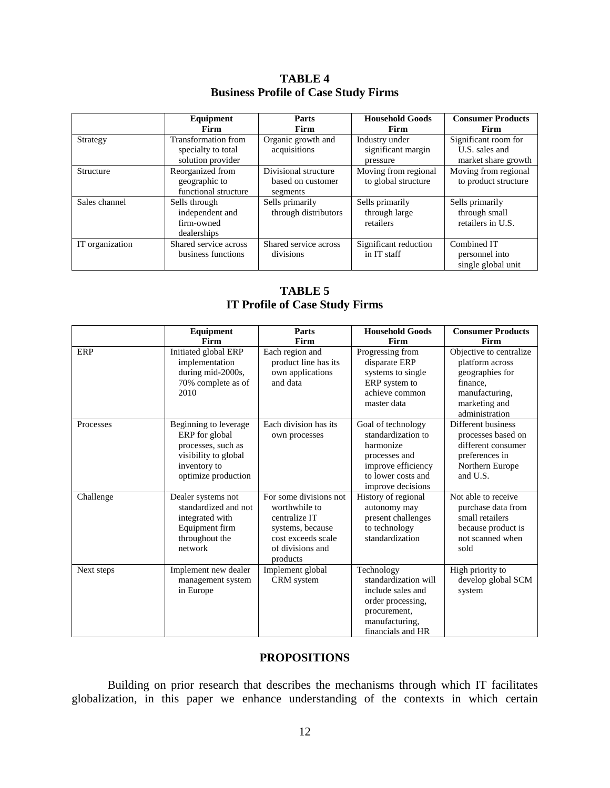|                 | Equipment<br>Firm                                              | Parts<br>Firm                                         | <b>Household Goods</b><br>Firm                   | <b>Consumer Products</b><br>Firm                              |
|-----------------|----------------------------------------------------------------|-------------------------------------------------------|--------------------------------------------------|---------------------------------------------------------------|
| Strategy        | Transformation from<br>specialty to total<br>solution provider | Organic growth and<br>acquisitions                    | Industry under<br>significant margin<br>pressure | Significant room for<br>U.S. sales and<br>market share growth |
| Structure       | Reorganized from<br>geographic to<br>functional structure      | Divisional structure<br>based on customer<br>segments | Moving from regional<br>to global structure      | Moving from regional<br>to product structure                  |
| Sales channel   | Sells through<br>independent and<br>firm-owned<br>dealerships  | Sells primarily<br>through distributors               | Sells primarily<br>through large<br>retailers    | Sells primarily<br>through small<br>retailers in U.S.         |
| IT organization | Shared service across<br>business functions                    | Shared service across<br>divisions                    | Significant reduction<br>in IT staff             | Combined IT<br>personnel into<br>single global unit           |

**TABLE 4 Business Profile of Case Study Firms**

# **TABLE 5 IT Profile of Case Study Firms**

|            | Equipment                                                                                                                    | Parts                                                                                                                              | <b>Household Goods</b>                                                                                                                  | <b>Consumer Products</b>                                                                                                       |
|------------|------------------------------------------------------------------------------------------------------------------------------|------------------------------------------------------------------------------------------------------------------------------------|-----------------------------------------------------------------------------------------------------------------------------------------|--------------------------------------------------------------------------------------------------------------------------------|
|            | Firm                                                                                                                         | Firm                                                                                                                               | Firm                                                                                                                                    | Firm                                                                                                                           |
| ERP        | Initiated global ERP<br>implementation<br>during mid-2000s,<br>70% complete as of<br>2010                                    | Each region and<br>product line has its<br>own applications<br>and data                                                            | Progressing from<br>disparate ERP<br>systems to single<br>ERP system to<br>achieve common<br>master data                                | Objective to centralize<br>platform across<br>geographies for<br>finance,<br>manufacturing,<br>marketing and<br>administration |
| Processes  | Beginning to leverage<br>ERP for global<br>processes, such as<br>visibility to global<br>inventory to<br>optimize production | Each division has its<br>own processes                                                                                             | Goal of technology<br>standardization to<br>harmonize<br>processes and<br>improve efficiency<br>to lower costs and<br>improve decisions | Different business<br>processes based on<br>different consumer<br>preferences in<br>Northern Europe<br>and U.S.                |
| Challenge  | Dealer systems not<br>standardized and not<br>integrated with<br>Equipment firm<br>throughout the<br>network                 | For some divisions not<br>worthwhile to<br>centralize IT<br>systems, because<br>cost exceeds scale<br>of divisions and<br>products | History of regional<br>autonomy may<br>present challenges<br>to technology<br>standardization                                           | Not able to receive<br>purchase data from<br>small retailers<br>because product is<br>not scanned when<br>sold                 |
| Next steps | Implement new dealer<br>management system<br>in Europe                                                                       | Implement global<br>CRM system                                                                                                     | Technology<br>standardization will<br>include sales and<br>order processing,<br>procurement,<br>manufacturing,<br>financials and HR     | High priority to<br>develop global SCM<br>system                                                                               |

# **PROPOSITIONS**

Building on prior research that describes the mechanisms through which IT facilitates globalization, in this paper we enhance understanding of the contexts in which certain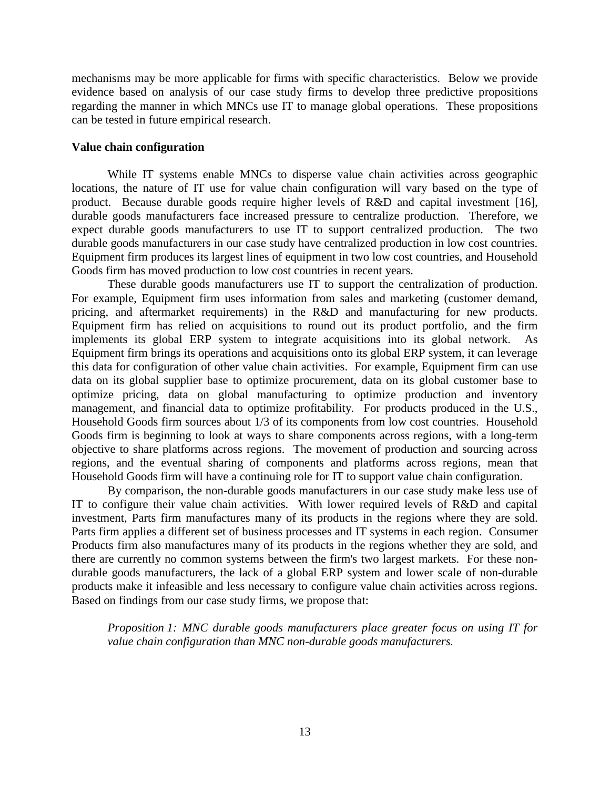mechanisms may be more applicable for firms with specific characteristics. Below we provide evidence based on analysis of our case study firms to develop three predictive propositions regarding the manner in which MNCs use IT to manage global operations. These propositions can be tested in future empirical research.

### **Value chain configuration**

While IT systems enable MNCs to disperse value chain activities across geographic locations, the nature of IT use for value chain configuration will vary based on the type of product. Because durable goods require higher levels of R&D and capital investment [\[16\]](#page-19-10), durable goods manufacturers face increased pressure to centralize production. Therefore, we expect durable goods manufacturers to use IT to support centralized production. The two durable goods manufacturers in our case study have centralized production in low cost countries. Equipment firm produces its largest lines of equipment in two low cost countries, and Household Goods firm has moved production to low cost countries in recent years.

These durable goods manufacturers use IT to support the centralization of production. For example, Equipment firm uses information from sales and marketing (customer demand, pricing, and aftermarket requirements) in the R&D and manufacturing for new products. Equipment firm has relied on acquisitions to round out its product portfolio, and the firm implements its global ERP system to integrate acquisitions into its global network. As Equipment firm brings its operations and acquisitions onto its global ERP system, it can leverage this data for configuration of other value chain activities. For example, Equipment firm can use data on its global supplier base to optimize procurement, data on its global customer base to optimize pricing, data on global manufacturing to optimize production and inventory management, and financial data to optimize profitability. For products produced in the U.S., Household Goods firm sources about 1/3 of its components from low cost countries. Household Goods firm is beginning to look at ways to share components across regions, with a long-term objective to share platforms across regions. The movement of production and sourcing across regions, and the eventual sharing of components and platforms across regions, mean that Household Goods firm will have a continuing role for IT to support value chain configuration.

By comparison, the non-durable goods manufacturers in our case study make less use of IT to configure their value chain activities. With lower required levels of R&D and capital investment, Parts firm manufactures many of its products in the regions where they are sold. Parts firm applies a different set of business processes and IT systems in each region. Consumer Products firm also manufactures many of its products in the regions whether they are sold, and there are currently no common systems between the firm's two largest markets. For these nondurable goods manufacturers, the lack of a global ERP system and lower scale of non-durable products make it infeasible and less necessary to configure value chain activities across regions. Based on findings from our case study firms, we propose that:

*Proposition 1: MNC durable goods manufacturers place greater focus on using IT for value chain configuration than MNC non-durable goods manufacturers.*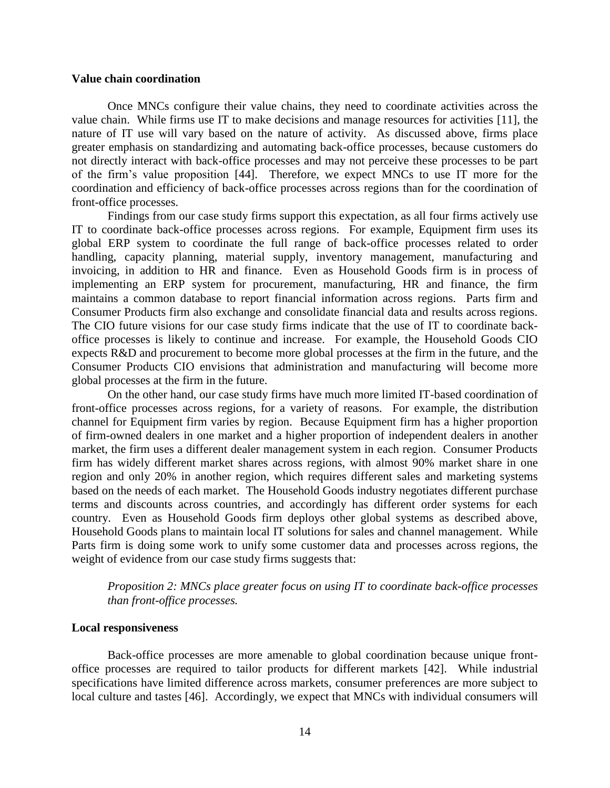#### **Value chain coordination**

Once MNCs configure their value chains, they need to coordinate activities across the value chain. While firms use IT to make decisions and manage resources for activities [\[11\]](#page-19-4), the nature of IT use will vary based on the nature of activity. As discussed above, firms place greater emphasis on standardizing and automating back-office processes, because customers do not directly interact with back-office processes and may not perceive these processes to be part of the firm's value proposition [\[44\]](#page-21-9). Therefore, we expect MNCs to use IT more for the coordination and efficiency of back-office processes across regions than for the coordination of front-office processes.

Findings from our case study firms support this expectation, as all four firms actively use IT to coordinate back-office processes across regions. For example, Equipment firm uses its global ERP system to coordinate the full range of back-office processes related to order handling, capacity planning, material supply, inventory management, manufacturing and invoicing, in addition to HR and finance. Even as Household Goods firm is in process of implementing an ERP system for procurement, manufacturing, HR and finance, the firm maintains a common database to report financial information across regions. Parts firm and Consumer Products firm also exchange and consolidate financial data and results across regions. The CIO future visions for our case study firms indicate that the use of IT to coordinate backoffice processes is likely to continue and increase. For example, the Household Goods CIO expects R&D and procurement to become more global processes at the firm in the future, and the Consumer Products CIO envisions that administration and manufacturing will become more global processes at the firm in the future.

On the other hand, our case study firms have much more limited IT-based coordination of front-office processes across regions, for a variety of reasons. For example, the distribution channel for Equipment firm varies by region. Because Equipment firm has a higher proportion of firm-owned dealers in one market and a higher proportion of independent dealers in another market, the firm uses a different dealer management system in each region. Consumer Products firm has widely different market shares across regions, with almost 90% market share in one region and only 20% in another region, which requires different sales and marketing systems based on the needs of each market. The Household Goods industry negotiates different purchase terms and discounts across countries, and accordingly has different order systems for each country. Even as Household Goods firm deploys other global systems as described above, Household Goods plans to maintain local IT solutions for sales and channel management. While Parts firm is doing some work to unify some customer data and processes across regions, the weight of evidence from our case study firms suggests that:

# *Proposition 2: MNCs place greater focus on using IT to coordinate back-office processes than front-office processes.*

#### **Local responsiveness**

Back-office processes are more amenable to global coordination because unique frontoffice processes are required to tailor products for different markets [\[42\]](#page-21-3). While industrial specifications have limited difference across markets, consumer preferences are more subject to local culture and tastes [\[46\]](#page-21-7). Accordingly, we expect that MNCs with individual consumers will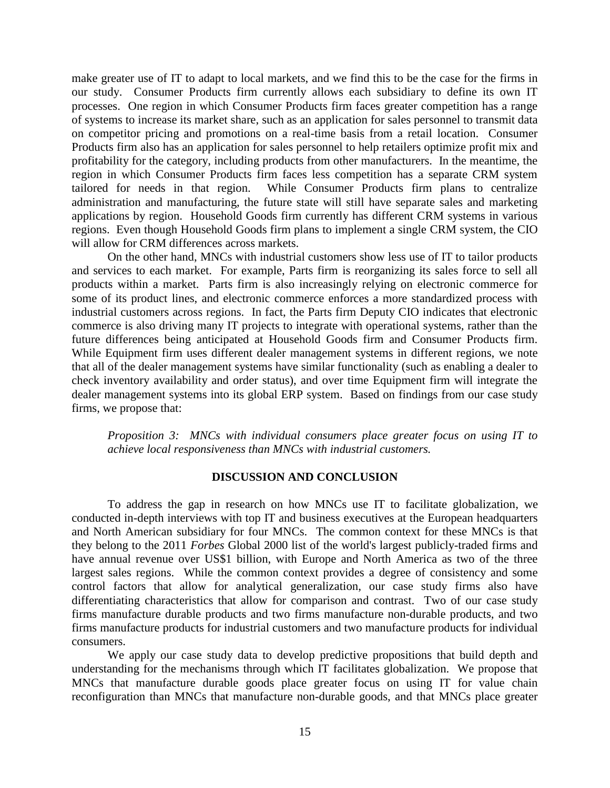make greater use of IT to adapt to local markets, and we find this to be the case for the firms in our study. Consumer Products firm currently allows each subsidiary to define its own IT processes. One region in which Consumer Products firm faces greater competition has a range of systems to increase its market share, such as an application for sales personnel to transmit data on competitor pricing and promotions on a real-time basis from a retail location. Consumer Products firm also has an application for sales personnel to help retailers optimize profit mix and profitability for the category, including products from other manufacturers. In the meantime, the region in which Consumer Products firm faces less competition has a separate CRM system tailored for needs in that region. While Consumer Products firm plans to centralize administration and manufacturing, the future state will still have separate sales and marketing applications by region. Household Goods firm currently has different CRM systems in various regions. Even though Household Goods firm plans to implement a single CRM system, the CIO will allow for CRM differences across markets.

On the other hand, MNCs with industrial customers show less use of IT to tailor products and services to each market. For example, Parts firm is reorganizing its sales force to sell all products within a market. Parts firm is also increasingly relying on electronic commerce for some of its product lines, and electronic commerce enforces a more standardized process with industrial customers across regions. In fact, the Parts firm Deputy CIO indicates that electronic commerce is also driving many IT projects to integrate with operational systems, rather than the future differences being anticipated at Household Goods firm and Consumer Products firm. While Equipment firm uses different dealer management systems in different regions, we note that all of the dealer management systems have similar functionality (such as enabling a dealer to check inventory availability and order status), and over time Equipment firm will integrate the dealer management systems into its global ERP system. Based on findings from our case study firms, we propose that:

*Proposition 3: MNCs with individual consumers place greater focus on using IT to achieve local responsiveness than MNCs with industrial customers.*

# **DISCUSSION AND CONCLUSION**

To address the gap in research on how MNCs use IT to facilitate globalization, we conducted in-depth interviews with top IT and business executives at the European headquarters and North American subsidiary for four MNCs. The common context for these MNCs is that they belong to the 2011 *Forbes* Global 2000 list of the world's largest publicly-traded firms and have annual revenue over US\$1 billion, with Europe and North America as two of the three largest sales regions. While the common context provides a degree of consistency and some control factors that allow for analytical generalization, our case study firms also have differentiating characteristics that allow for comparison and contrast. Two of our case study firms manufacture durable products and two firms manufacture non-durable products, and two firms manufacture products for industrial customers and two manufacture products for individual consumers.

We apply our case study data to develop predictive propositions that build depth and understanding for the mechanisms through which IT facilitates globalization. We propose that MNCs that manufacture durable goods place greater focus on using IT for value chain reconfiguration than MNCs that manufacture non-durable goods, and that MNCs place greater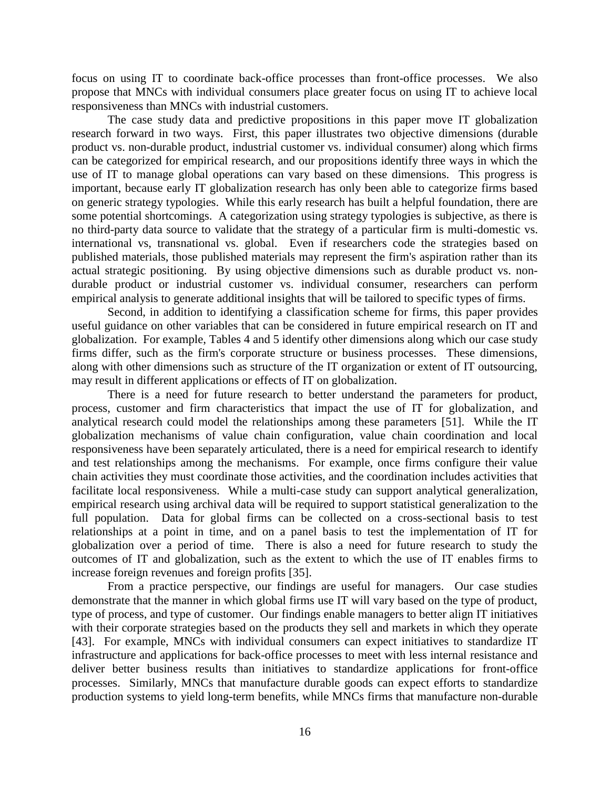focus on using IT to coordinate back-office processes than front-office processes. We also propose that MNCs with individual consumers place greater focus on using IT to achieve local responsiveness than MNCs with industrial customers.

The case study data and predictive propositions in this paper move IT globalization research forward in two ways. First, this paper illustrates two objective dimensions (durable product vs. non-durable product, industrial customer vs. individual consumer) along which firms can be categorized for empirical research, and our propositions identify three ways in which the use of IT to manage global operations can vary based on these dimensions. This progress is important, because early IT globalization research has only been able to categorize firms based on generic strategy typologies. While this early research has built a helpful foundation, there are some potential shortcomings. A categorization using strategy typologies is subjective, as there is no third-party data source to validate that the strategy of a particular firm is multi-domestic vs. international vs, transnational vs. global. Even if researchers code the strategies based on published materials, those published materials may represent the firm's aspiration rather than its actual strategic positioning. By using objective dimensions such as durable product vs. nondurable product or industrial customer vs. individual consumer, researchers can perform empirical analysis to generate additional insights that will be tailored to specific types of firms.

Second, in addition to identifying a classification scheme for firms, this paper provides useful guidance on other variables that can be considered in future empirical research on IT and globalization. For example, Tables 4 and 5 identify other dimensions along which our case study firms differ, such as the firm's corporate structure or business processes. These dimensions, along with other dimensions such as structure of the IT organization or extent of IT outsourcing, may result in different applications or effects of IT on globalization.

There is a need for future research to better understand the parameters for product, process, customer and firm characteristics that impact the use of IT for globalization, and analytical research could model the relationships among these parameters [\[51\]](#page-21-13). While the IT globalization mechanisms of value chain configuration, value chain coordination and local responsiveness have been separately articulated, there is a need for empirical research to identify and test relationships among the mechanisms. For example, once firms configure their value chain activities they must coordinate those activities, and the coordination includes activities that facilitate local responsiveness. While a multi-case study can support analytical generalization, empirical research using archival data will be required to support statistical generalization to the full population. Data for global firms can be collected on a cross-sectional basis to test relationships at a point in time, and on a panel basis to test the implementation of IT for globalization over a period of time. There is also a need for future research to study the outcomes of IT and globalization, such as the extent to which the use of IT enables firms to increase foreign revenues and foreign profits [\[35\]](#page-20-21).

From a practice perspective, our findings are useful for managers. Our case studies demonstrate that the manner in which global firms use IT will vary based on the type of product, type of process, and type of customer. Our findings enable managers to better align IT initiatives with their corporate strategies based on the products they sell and markets in which they operate [\[43\]](#page-21-14). For example, MNCs with individual consumers can expect initiatives to standardize IT infrastructure and applications for back-office processes to meet with less internal resistance and deliver better business results than initiatives to standardize applications for front-office processes. Similarly, MNCs that manufacture durable goods can expect efforts to standardize production systems to yield long-term benefits, while MNCs firms that manufacture non-durable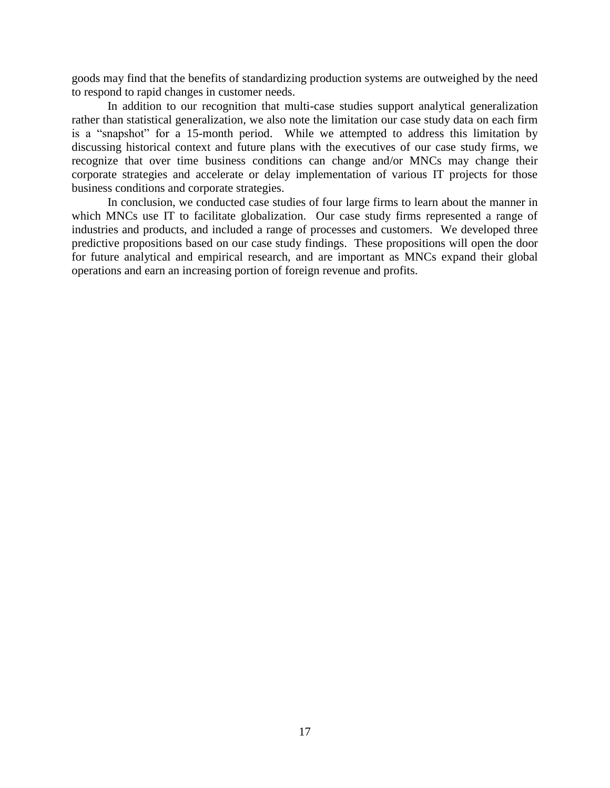goods may find that the benefits of standardizing production systems are outweighed by the need to respond to rapid changes in customer needs.

In addition to our recognition that multi-case studies support analytical generalization rather than statistical generalization, we also note the limitation our case study data on each firm is a "snapshot" for a 15-month period. While we attempted to address this limitation by discussing historical context and future plans with the executives of our case study firms, we recognize that over time business conditions can change and/or MNCs may change their corporate strategies and accelerate or delay implementation of various IT projects for those business conditions and corporate strategies.

In conclusion, we conducted case studies of four large firms to learn about the manner in which MNCs use IT to facilitate globalization. Our case study firms represented a range of industries and products, and included a range of processes and customers. We developed three predictive propositions based on our case study findings. These propositions will open the door for future analytical and empirical research, and are important as MNCs expand their global operations and earn an increasing portion of foreign revenue and profits.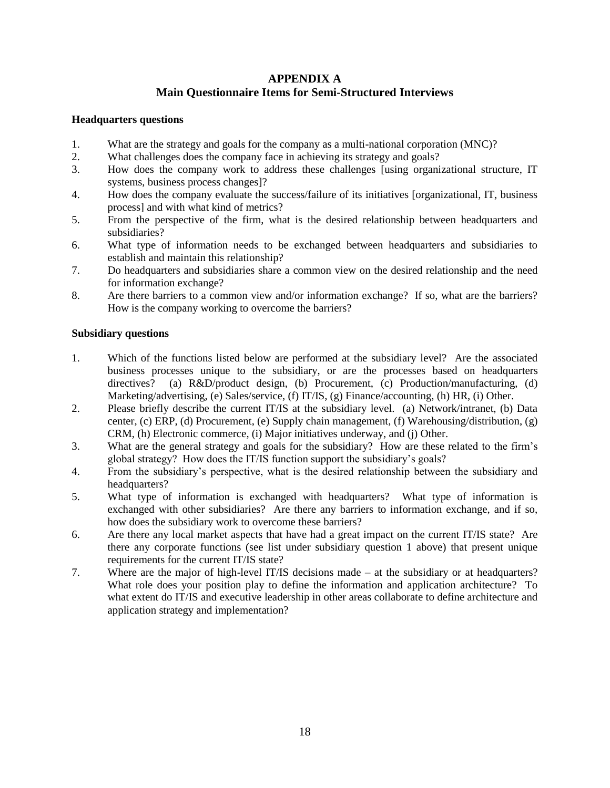# **APPENDIX A Main Questionnaire Items for Semi-Structured Interviews**

# **Headquarters questions**

- 1. What are the strategy and goals for the company as a multi-national corporation (MNC)?
- 2. What challenges does the company face in achieving its strategy and goals?
- 3. How does the company work to address these challenges [using organizational structure, IT systems, business process changes]?
- 4. How does the company evaluate the success/failure of its initiatives [organizational, IT, business process] and with what kind of metrics?
- 5. From the perspective of the firm, what is the desired relationship between headquarters and subsidiaries?
- 6. What type of information needs to be exchanged between headquarters and subsidiaries to establish and maintain this relationship?
- 7. Do headquarters and subsidiaries share a common view on the desired relationship and the need for information exchange?
- 8. Are there barriers to a common view and/or information exchange? If so, what are the barriers? How is the company working to overcome the barriers?

# **Subsidiary questions**

- 1. Which of the functions listed below are performed at the subsidiary level? Are the associated business processes unique to the subsidiary, or are the processes based on headquarters directives? (a) R&D/product design, (b) Procurement, (c) Production/manufacturing, (d) Marketing/advertising, (e) Sales/service, (f) IT/IS, (g) Finance/accounting, (h) HR, (i) Other.
- 2. Please briefly describe the current IT/IS at the subsidiary level. (a) Network/intranet, (b) Data center, (c) ERP, (d) Procurement, (e) Supply chain management, (f) Warehousing/distribution, (g) CRM, (h) Electronic commerce, (i) Major initiatives underway, and (j) Other.
- 3. What are the general strategy and goals for the subsidiary? How are these related to the firm's global strategy? How does the IT/IS function support the subsidiary's goals?
- 4. From the subsidiary's perspective, what is the desired relationship between the subsidiary and headquarters?
- 5. What type of information is exchanged with headquarters? What type of information is exchanged with other subsidiaries? Are there any barriers to information exchange, and if so, how does the subsidiary work to overcome these barriers?
- 6. Are there any local market aspects that have had a great impact on the current IT/IS state? Are there any corporate functions (see list under subsidiary question 1 above) that present unique requirements for the current IT/IS state?
- 7. Where are the major of high-level IT/IS decisions made at the subsidiary or at headquarters? What role does your position play to define the information and application architecture? To what extent do IT/IS and executive leadership in other areas collaborate to define architecture and application strategy and implementation?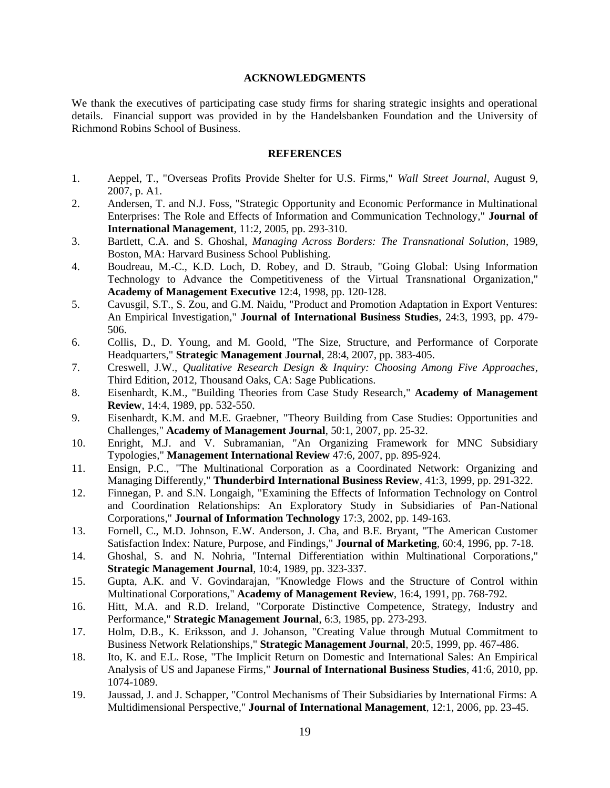#### **ACKNOWLEDGMENTS**

We thank the executives of participating case study firms for sharing strategic insights and operational details. Financial support was provided in by the Handelsbanken Foundation and the University of Richmond Robins School of Business.

#### **REFERENCES**

- <span id="page-19-0"></span>1. Aeppel, T., "Overseas Profits Provide Shelter for U.S. Firms," *Wall Street Journal*, August 9, 2007, p. A1.
- <span id="page-19-3"></span>2. Andersen, T. and N.J. Foss, "Strategic Opportunity and Economic Performance in Multinational Enterprises: The Role and Effects of Information and Communication Technology*,*" **Journal of International Management**, 11:2, 2005, pp. 293-310.
- <span id="page-19-8"></span>3. Bartlett, C.A. and S. Ghoshal, *Managing Across Borders: The Transnational Solution*, 1989, Boston, MA: Harvard Business School Publishing.
- <span id="page-19-2"></span>4. Boudreau, M.-C., K.D. Loch, D. Robey, and D. Straub, "Going Global: Using Information Technology to Advance the Competitiveness of the Virtual Transnational Organization*,*" **Academy of Management Executive** 12:4, 1998, pp. 120-128.
- <span id="page-19-12"></span>5. Cavusgil, S.T., S. Zou, and G.M. Naidu, "Product and Promotion Adaptation in Export Ventures: An Empirical Investigation*,*" **Journal of International Business Studies**, 24:3, 1993, pp. 479- 506.
- <span id="page-19-18"></span>6. Collis, D., D. Young, and M. Goold, "The Size, Structure, and Performance of Corporate Headquarters*,*" **Strategic Management Journal**, 28:4, 2007, pp. 383-405.
- <span id="page-19-16"></span>7. Creswell, J.W., *Qualitative Research Design & Inquiry: Choosing Among Five Approaches*, Third Edition, 2012, Thousand Oaks, CA: Sage Publications.
- <span id="page-19-15"></span>8. Eisenhardt, K.M., "Building Theories from Case Study Research*,*" **Academy of Management Review**, 14:4, 1989, pp. 532-550.
- <span id="page-19-14"></span>9. Eisenhardt, K.M. and M.E. Graebner, "Theory Building from Case Studies: Opportunities and Challenges*,*" **Academy of Management Journal**, 50:1, 2007, pp. 25-32.
- <span id="page-19-9"></span>10. Enright, M.J. and V. Subramanian, "An Organizing Framework for MNC Subsidiary Typologies*,*" **Management International Review** 47:6, 2007, pp. 895-924.
- <span id="page-19-4"></span>11. Ensign, P.C., "The Multinational Corporation as a Coordinated Network: Organizing and Managing Differently*,*" **Thunderbird International Business Review**, 41:3, 1999, pp. 291-322.
- <span id="page-19-6"></span>12. Finnegan, P. and S.N. Longaigh, "Examining the Effects of Information Technology on Control and Coordination Relationships: An Exploratory Study in Subsidiaries of Pan-National Corporations*,*" **Journal of Information Technology** 17:3, 2002, pp. 149-163.
- <span id="page-19-11"></span>13. Fornell, C., M.D. Johnson, E.W. Anderson, J. Cha, and B.E. Bryant, "The American Customer Satisfaction Index: Nature, Purpose, and Findings*,*" **Journal of Marketing**, 60:4, 1996, pp. 7-18.
- <span id="page-19-17"></span>14. Ghoshal, S. and N. Nohria, "Internal Differentiation within Multinational Corporations*,*" **Strategic Management Journal**, 10:4, 1989, pp. 323-337.
- <span id="page-19-7"></span>15. Gupta, A.K. and V. Govindarajan, "Knowledge Flows and the Structure of Control within Multinational Corporations*,*" **Academy of Management Review**, 16:4, 1991, pp. 768-792.
- <span id="page-19-10"></span>16. Hitt, M.A. and R.D. Ireland, "Corporate Distinctive Competence, Strategy, Industry and Performance*,*" **Strategic Management Journal**, 6:3, 1985, pp. 273-293.
- <span id="page-19-13"></span>17. Holm, D.B., K. Eriksson, and J. Johanson, "Creating Value through Mutual Commitment to Business Network Relationships*,*" **Strategic Management Journal**, 20:5, 1999, pp. 467-486.
- <span id="page-19-1"></span>18. Ito, K. and E.L. Rose, "The Implicit Return on Domestic and International Sales: An Empirical Analysis of US and Japanese Firms*,*" **Journal of International Business Studies**, 41:6, 2010, pp. 1074-1089.
- <span id="page-19-5"></span>19. Jaussad, J. and J. Schapper, "Control Mechanisms of Their Subsidiaries by International Firms: A Multidimensional Perspective*,*" **Journal of International Management**, 12:1, 2006, pp. 23-45.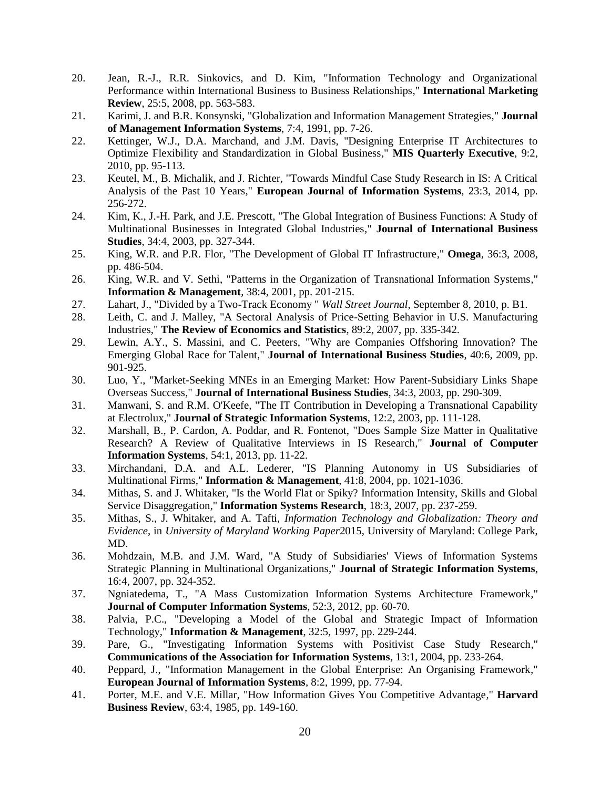- <span id="page-20-4"></span>20. Jean, R.-J., R.R. Sinkovics, and D. Kim, "Information Technology and Organizational Performance within International Business to Business Relationships*,*" **International Marketing Review**, 25:5, 2008, pp. 563-583.
- <span id="page-20-9"></span>21. Karimi, J. and B.R. Konsynski, "Globalization and Information Management Strategies*,*" **Journal of Management Information Systems**, 7:4, 1991, pp. 7-26.
- <span id="page-20-20"></span>22. Kettinger, W.J., D.A. Marchand, and J.M. Davis, "Designing Enterprise IT Architectures to Optimize Flexibility and Standardization in Global Business*,*" **MIS Quarterly Executive**, 9:2, 2010, pp. 95-113.
- <span id="page-20-15"></span>23. Keutel, M., B. Michalik, and J. Richter, "Towards Mindful Case Study Research in IS: A Critical Analysis of the Past 10 Years*,*" **European Journal of Information Systems**, 23:3, 2014, pp. 256-272.
- <span id="page-20-18"></span>24. Kim, K., J.-H. Park, and J.E. Prescott, "The Global Integration of Business Functions: A Study of Multinational Businesses in Integrated Global Industries*,*" **Journal of International Business Studies**, 34:4, 2003, pp. 327-344.
- <span id="page-20-10"></span>25. King, W.R. and P.R. Flor, "The Development of Global IT Infrastructure*,*" **Omega**, 36:3, 2008, pp. 486-504.
- <span id="page-20-5"></span>26. King, W.R. and V. Sethi, "Patterns in the Organization of Transnational Information Systems*,*" **Information & Management**, 38:4, 2001, pp. 201-215.
- <span id="page-20-1"></span>27. Lahart, J., "Divided by a Two-Track Economy " *Wall Street Journal*, September 8, 2010, p. B1.
- <span id="page-20-11"></span>28. Leith, C. and J. Malley, "A Sectoral Analysis of Price-Setting Behavior in U.S. Manufacturing Industries*,*" **The Review of Economics and Statistics**, 89:2, 2007, pp. 335-342.
- <span id="page-20-0"></span>29. Lewin, A.Y., S. Massini, and C. Peeters, "Why are Companies Offshoring Innovation? The Emerging Global Race for Talent*,*" **Journal of International Business Studies**, 40:6, 2009, pp. 901-925.
- <span id="page-20-17"></span>30. Luo, Y., "Market-Seeking MNEs in an Emerging Market: How Parent-Subsidiary Links Shape Overseas Success*,*" **Journal of International Business Studies**, 34:3, 2003, pp. 290-309.
- <span id="page-20-8"></span>31. Manwani, S. and R.M. O'Keefe, "The IT Contribution in Developing a Transnational Capability at Electrolux*,*" **Journal of Strategic Information Systems**, 12:2, 2003, pp. 111-128.
- <span id="page-20-16"></span>32. Marshall, B., P. Cardon, A. Poddar, and R. Fontenot, "Does Sample Size Matter in Qualitative Research? A Review of Qualitative Interviews in IS Research*,*" **Journal of Computer Information Systems**, 54:1, 2013, pp. 11-22.
- <span id="page-20-19"></span>33. Mirchandani, D.A. and A.L. Lederer, "IS Planning Autonomy in US Subsidiaries of Multinational Firms*,*" **Information & Management**, 41:8, 2004, pp. 1021-1036.
- <span id="page-20-6"></span>34. Mithas, S. and J. Whitaker, "Is the World Flat or Spiky? Information Intensity, Skills and Global Service Disaggregation*,*" **Information Systems Research**, 18:3, 2007, pp. 237-259.
- <span id="page-20-21"></span>35. Mithas, S., J. Whitaker, and A. Tafti, *Information Technology and Globalization: Theory and Evidence*, in *University of Maryland Working Paper*2015, University of Maryland: College Park, MD.
- <span id="page-20-2"></span>36. Mohdzain, M.B. and J.M. Ward, "A Study of Subsidiaries' Views of Information Systems Strategic Planning in Multinational Organizations*,*" **Journal of Strategic Information Systems**, 16:4, 2007, pp. 324-352.
- <span id="page-20-13"></span>37. Ngniatedema, T., "A Mass Customization Information Systems Architecture Framework*,*" **Journal of Computer Information Systems**, 52:3, 2012, pp. 60-70.
- <span id="page-20-3"></span>38. Palvia, P.C., "Developing a Model of the Global and Strategic Impact of Information Technology*,*" **Information & Management**, 32:5, 1997, pp. 229-244.
- <span id="page-20-14"></span>39. Pare, G., "Investigating Information Systems with Positivist Case Study Research*,*" **Communications of the Association for Information Systems**, 13:1, 2004, pp. 233-264.
- <span id="page-20-7"></span>40. Peppard, J., "Information Management in the Global Enterprise: An Organising Framework*,*" **European Journal of Information Systems**, 8:2, 1999, pp. 77-94.
- <span id="page-20-12"></span>41. Porter, M.E. and V.E. Millar, "How Information Gives You Competitive Advantage*,*" **Harvard Business Review**, 63:4, 1985, pp. 149-160.